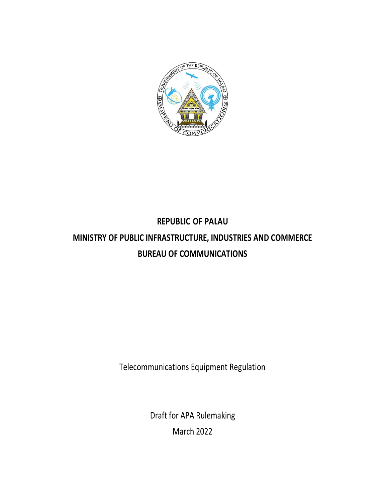

# **REPUBLIC OF PALAU MINISTRY OF PUBLIC INFRASTRUCTURE, INDUSTRIES AND COMMERCE BUREAU OF COMMUNICATIONS**

Telecommunications Equipment Regulation

Draft for APA Rulemaking March 2022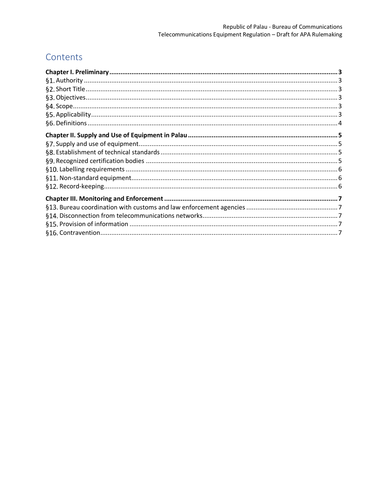# Contents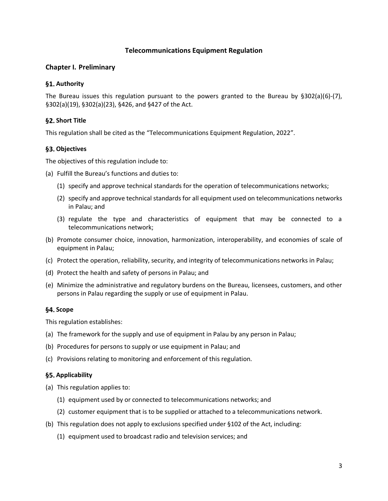# **Telecommunications Equipment Regulation**

# <span id="page-2-0"></span>**Chapter I. Preliminary**

# <span id="page-2-1"></span>§1. Authority

The Bureau issues this regulation pursuant to the powers granted to the Bureau by  $\S 302(a)(6)-(7)$ , §302(a)(19), §302(a)(23), §426, and §427 of the Act.

# <span id="page-2-2"></span>**§2. Short Title**

This regulation shall be cited as the "Telecommunications Equipment Regulation, 2022".

#### <span id="page-2-3"></span>**Objectives**

The objectives of this regulation include to:

- (a) Fulfill the Bureau's functions and duties to:
	- (1) specify and approve technical standards for the operation of telecommunications networks;
	- (2) specify and approve technical standards for all equipment used on telecommunications networks in Palau; and
	- (3) regulate the type and characteristics of equipment that may be connected to a telecommunications network;
- (b) Promote consumer choice, innovation, harmonization, interoperability, and economies of scale of equipment in Palau;
- (c) Protect the operation, reliability, security, and integrity of telecommunications networks in Palau;
- (d) Protect the health and safety of persons in Palau; and
- (e) Minimize the administrative and regulatory burdens on the Bureau, licensees, customers, and other persons in Palau regarding the supply or use of equipment in Palau.

# <span id="page-2-4"></span>§4. Scope

This regulation establishes:

- (a) The framework for the supply and use of equipment in Palau by any person in Palau;
- (b) Procedures for persons to supply or use equipment in Palau; and
- (c) Provisions relating to monitoring and enforcement of this regulation.

#### <span id="page-2-5"></span>**Applicability**

- (a) This regulation applies to:
	- (1) equipment used by or connected to telecommunications networks; and
	- (2) customer equipment that is to be supplied or attached to a telecommunications network.
- (b) This regulation does not apply to exclusions specified under §102 of the Act, including:
	- (1) equipment used to broadcast radio and television services; and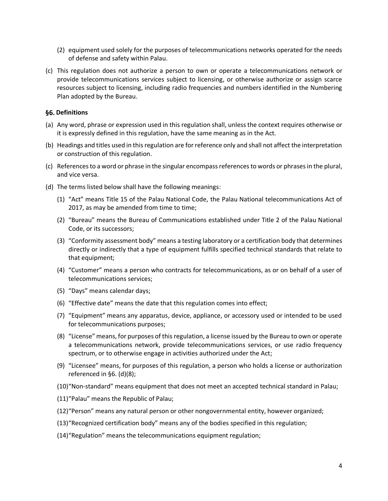- (2) equipment used solely for the purposes of telecommunications networks operated for the needs of defense and safety within Palau.
- (c) This regulation does not authorize a person to own or operate a telecommunications network or provide telecommunications services subject to licensing, or otherwise authorize or assign scarce resources subject to licensing, including radio frequencies and numbers identified in the Numbering Plan adopted by the Bureau.

#### <span id="page-3-0"></span>**§6. Definitions**

- (a) Any word, phrase or expression used in this regulation shall, unless the context requires otherwise or it is expressly defined in this regulation, have the same meaning as in the Act.
- (b) Headings and titles used in this regulation are for reference only and shall not affect the interpretation or construction of this regulation.
- (c) References to a word or phrase in the singular encompass references to words or phrases in the plural, and vice versa.
- <span id="page-3-1"></span>(d) The terms listed below shall have the following meanings:
	- (1) "Act" means Title 15 of the Palau National Code, the Palau National telecommunications Act of 2017, as may be amended from time to time;
	- (2) "Bureau" means the Bureau of Communications established under Title 2 of the Palau National Code, or its successors;
	- (3) "Conformity assessment body" means a testing laboratory or a certification body that determines directly or indirectly that a type of equipment fulfills specified technical standards that relate to that equipment;
	- (4) "Customer" means a person who contracts for telecommunications, as or on behalf of a user of telecommunications services;
	- (5) "Days" means calendar days;
	- (6) "Effective date" means the date that this regulation comes into effect;
	- (7) "Equipment" means any apparatus, device, appliance, or accessory used or intended to be used for telecommunications purposes;
	- (8) "License" means, for purposes of this regulation, a license issued by the Bureau to own or operate a telecommunications network, provide telecommunications services, or use radio frequency spectrum, or to otherwise engage in activities authorized under the Act;
	- (9) "Licensee" means, for purposes of this regulation, a person who holds a license or authorization referenced i[n §6. \(d\)](#page-3-0)[\(8\);](#page-3-1)
	- (10)"Non-standard" means equipment that does not meet an accepted technical standard in Palau;
	- (11)"Palau" means the Republic of Palau;
	- (12)"Person" means any natural person or other nongovernmental entity, however organized;
	- (13)"Recognized certification body" means any of the bodies specified in this regulation;
	- (14)"Regulation" means the telecommunications equipment regulation;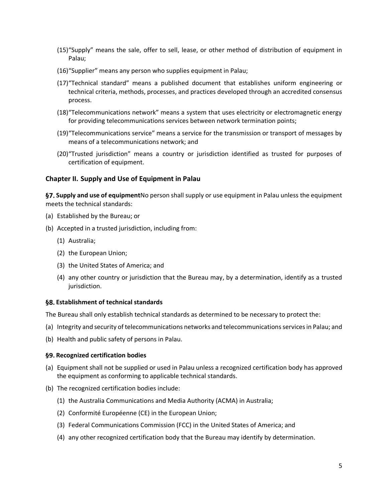- (15)"Supply" means the sale, offer to sell, lease, or other method of distribution of equipment in Palau;
- (16)"Supplier" means any person who supplies equipment in Palau;
- (17)"Technical standard" means a published document that establishes uniform engineering or technical criteria, methods, processes, and practices developed through an accredited consensus process.
- (18)"Telecommunications network" means a system that uses electricity or electromagnetic energy for providing telecommunications services between network termination points;
- (19)"Telecommunications service" means a service for the transmission or transport of messages by means of a telecommunications network; and
- (20)"Trusted jurisdiction" means a country or jurisdiction identified as trusted for purposes of certification of equipment.

#### <span id="page-4-0"></span>**Chapter II. Supply and Use of Equipment in Palau**

<span id="page-4-1"></span>**Supply and use of equipment**No person shall supply or use equipment in Palau unless the equipment meets the technical standards:

- (a) Established by the Bureau; or
- (b) Accepted in a trusted jurisdiction, including from:
	- (1) Australia;
	- (2) the European Union;
	- (3) the United States of America; and
	- (4) any other country or jurisdiction that the Bureau may, by a determination, identify as a trusted jurisdiction.

#### <span id="page-4-2"></span>**Establishment of technical standards**

The Bureau shall only establish technical standards as determined to be necessary to protect the:

- (a) Integrity and security of telecommunications networks and telecommunications servicesin Palau; and
- (b) Health and public safety of persons in Palau.

#### <span id="page-4-3"></span>**Recognized certification bodies**

- (a) Equipment shall not be supplied or used in Palau unless a recognized certification body has approved the equipment as conforming to applicable technical standards.
- (b) The recognized certification bodies include:
	- (1) the Australia Communications and Media Authority (ACMA) in Australia;
	- (2) Conformité Européenne (CE) in the European Union;
	- (3) Federal Communications Commission (FCC) in the United States of America; and
	- (4) any other recognized certification body that the Bureau may identify by determination.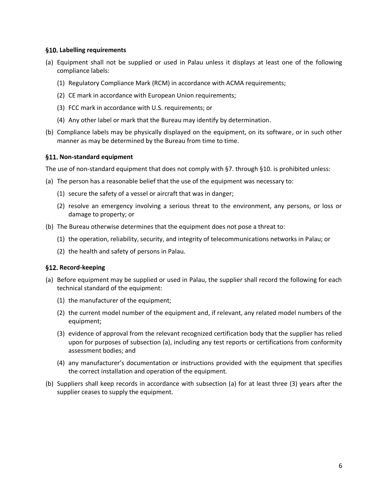#### <span id="page-5-0"></span>**Labelling requirements**

- (a) Equipment shall not be supplied or used in Palau unless it displays at least one of the following compliance labels:
	- (1) Regulatory Compliance Mark (RCM) in accordance with ACMA requirements;
	- (2) CE mark in accordance with European Union requirements;
	- (3) FCC mark in accordance with U.S. requirements; or
	- (4) Any other label or mark that the Bureau may identify by determination.
- (b) Compliance labels may be physically displayed on the equipment, on its software, or in such other manner as may be determined by the Bureau from time to time.

#### <span id="page-5-1"></span>**Non-standard equipment**

The use of non-standard equipment that does not comply with [§7. t](#page-4-1)hroug[h §10. i](#page-5-0)s prohibited unless:

- (a) The person has a reasonable belief that the use of the equipment was necessary to:
	- (1) secure the safety of a vessel or aircraft that was in danger;
	- (2) resolve an emergency involving a serious threat to the environment, any persons, or loss or damage to property; or
- (b) The Bureau otherwise determines that the equipment does not pose a threat to:
	- (1) the operation, reliability, security, and integrity of telecommunications networks in Palau; or
	- (2) the health and safety of persons in Palau.

#### <span id="page-5-2"></span>§12. Record-keeping

- (a) Before equipment may be supplied or used in Palau, the supplier shall record the following for each technical standard of the equipment:
	- (1) the manufacturer of the equipment;
	- (2) the current model number of the equipment and, if relevant, any related model numbers of the equipment;
	- (3) evidence of approval from the relevant recognized certification body that the supplier has relied upon for purposes of subsection (a), including any test reports or certifications from conformity assessment bodies; and
	- (4) any manufacturer's documentation or instructions provided with the equipment that specifies the correct installation and operation of the equipment.
- (b) Suppliers shall keep records in accordance with subsection (a) for at least three (3) years after the supplier ceases to supply the equipment.